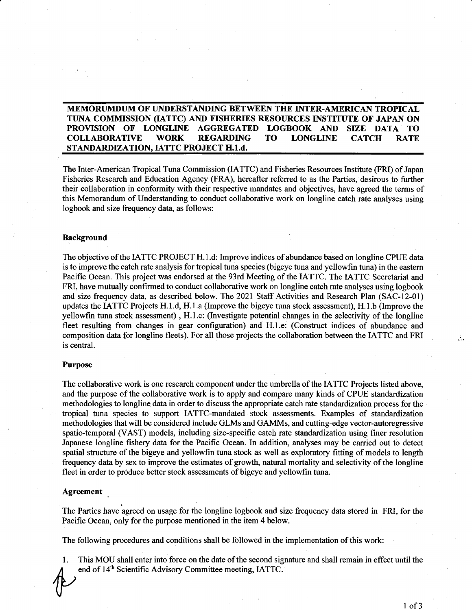# **MEMORUMDUM OF UNDERSTANDING BETWEEN THE INTER-AMERICAN TROPICAL TUNA COMMISSION (IATTC) AND FISHERIES RESOURCES INSTITUTE OF JAPAN ON PROVISION OF LONGLINE AGGREGATED LOGBOOK AND SIZE DATA TO COLLABORATIVE WORK REGARDING TO LONGLINE CATCH RATE STANDARDIZATION, IATTC PROJECT H.1.d.**

The Inter-American Tropical Tuna Commission (IATTC) and Fisheries Resources Institute (FRI) of Japan Fisheries Research and Education Agency (FRA), hereafter referred to as the Parties, desirous to further their collaboration in conformity with their respective mandates and objectives, have agreed the terms of this Memorandum of Understanding to conduct collaborative work on longline catch rate analyses using logbook and size frequency data, as follows:

## **Background**

The objective of the IA TTC PROJECT H.1.d: Improve indices of abundance based on longline CPUE data is to improve the catch rate analysis for tropical tuna species (bigeye tuna and yellowfin tuna) in the eastern Pacific Ocean. This project was endorsed at the 93rd Meeting of the IATTC. The IATTC Secretariat and FRI, have mutually confirmed to conduct collaborative work on longline catch rate analyses using logbook and size frequency data, as described below. The 2021 Staff Activities and Research Plan (SAC-12-01) updates the IATTC Projects H.1.d, H.1.a (Improve the bigeye tuna stock assessment), H.1.b (Improve the yellowfin tuna stock assessment) , H.1.c: (Investigate potential changes in the selectivity of the longline fleet resulting from changes in gear configuration) and H.1.e: (Construct indices of abundance and composition data for longline fleets). For all those projects the collaboration between the IATTC and FRI is central.

## **Purpose**

The collaborative work is one research component under the umbrella of the IATTC Projects listed above, and the purpose of the collaborative work is to apply and compare many kinds of CPUE standardization methodologies to longline data in order to discuss the appropriate catch rate standardization process for the tropical tuna species to support IA TTC-mandated stock assessments. Examples of standardization methodologies that will be considered include GLMs and GAMMs, and cutting-edge vector-autoregressive spatio-temporal (VAST) models, including size-specific catch rate standardization using finer resolution Japanese longline fishery data for the Pacific Ocean. In addition, analyses may be carried out to detect spatial structure of the bigeye and yellowfin tuna stock as well as exploratory fitting of models to length frequency data by sex to improve the estimates of growth, natural mortality and selectivity of the longline fleet in order to produce better stock assessments of bigeye and yellowfin tuna.

### **Agreement**

. The Parties have agreed on usage for the longline logbook and size frequency data stored in FRI, for the Pacific Ocean, only for the purpose mentioned in the item 4 below.

The following procedures and conditions shall be followed in the implementation of this work:

1. This MOU shall enter into force on the date of the second signature and shall remain in effect until the end of  $14<sup>th</sup>$  Scientific Advisory Committee meeting, IATTC.

 $\mathcal{L}_{\mathcal{A}}$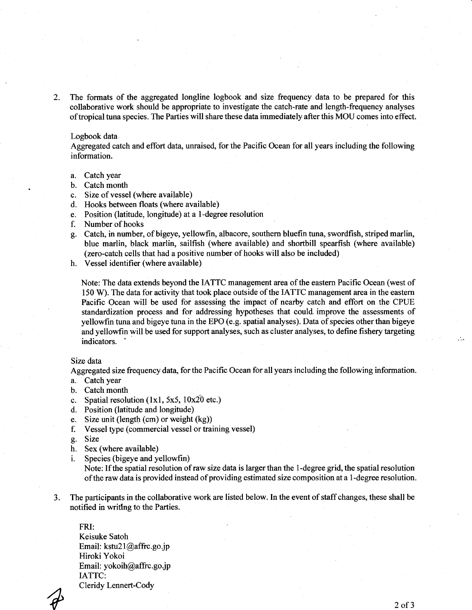2. The formats of the aggregated longline logbook and size frequency data to be prepared for this collaborative work should be appropriate to investigate the catch-rate and length-frequency analyses of tropical tuna species. The Parties will share these data immediately after this MOU comes into effect.

## Logbook data.

Aggregated catch and effort data, unraised, for the Pacific Ocean for all years including the following information.

- a. Catch year
- b. Catch month
- c. Size of vessel (where available)
- d. Hooks between floats (where available)
- e. Position (latitude, longitude) at a I-degree resolution
- f. Number of hooks
- g. Catch, in number, of bigeye, yellowfin, albacore, southern bluefin tuna, swordfish, striped marlin, blue marlin, black marlin, sailfish (where available) and shortbill spearfish (where available) (zero-catch cells that had a positive number of hooks will also be included)
- h. Vessel identifier (where available)

Note: The data extends beyond the IATTC management area of the eastern Pacific Ocean (west of 150 W). The data for activity that took place outside of the IA TIC management area in the eastern Pacific Ocean will be used for assessing the impact of nearby catch and effort on the CPUE standardization process and for addressing hypotheses that could improve the assessments of yellowfin tuna and bigeye tuna in the EPO (e.g. spatial analyses). Data of species other than bigeye and yellowfin will be used for support analyses, such as cluster analyses, to define fishery targeting indicators.

#### Size data

Aggregated size frequency data, for the Pacific Ocean for all years including the following information.

- a. Catch year
- b. Catch month
- c. Spatial resolution  $(1x1, 5x5, 10x20$  etc.)
- d. Position (latitude and longitude)
- e. Size unit (length (cm) or weight (kg))
- f. Vessel type (commercial vessel or training vessel)
- g. Size
- h. Sex (where available)
- i. Species (bigeye and yellowfin)

Note: If the spatial resolution of raw size data is larger than the I-degree grid, the spatial resolution of the raw data is provided instead of providing estimated size composition at a I-degree resolution.

3. The participants in the collaborative work are listed below. In the event of staff changes, these shall be notified in writing to the Parties.

FRI: Keisuke Satoh Email: kstu21@affrc.go.jp Hiroki Yokoi Email: yokoih@affrc.go.jp IATTC: Cleridy Lennert-Cody